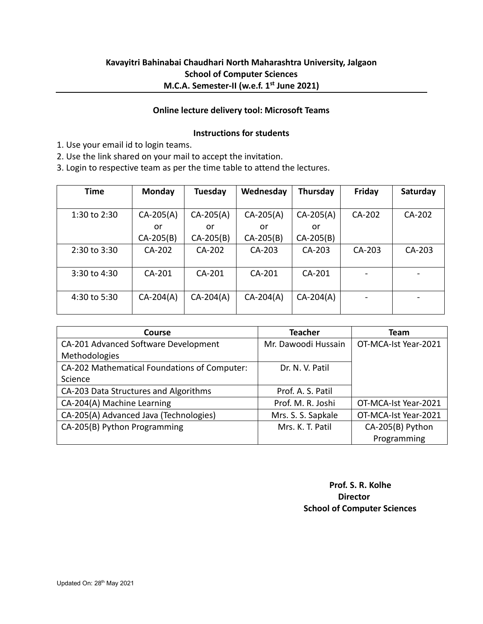# **Kavayitri Bahinabai Chaudhari North Maharashtra University, Jalgaon School of Computer Sciences M.C.A. Semester-II (w.e.f. 1 st June 2021)**

#### **Online lecture delivery tool: Microsoft Teams**

### **Instructions for students**

1. Use your email id to login teams.

2. Use the link shared on your mail to accept the invitation.

3. Login to respective team as per the time table to attend the lectures.

| <b>Time</b>  | Monday      | Tuesday     | Wednesday   | Thursday    | Friday | Saturday |
|--------------|-------------|-------------|-------------|-------------|--------|----------|
|              |             |             |             |             |        |          |
| 1:30 to 2:30 | $CA-205(A)$ | $CA-205(A)$ | $CA-205(A)$ | $CA-205(A)$ | CA-202 | CA-202   |
|              | or          | or          | or          | or          |        |          |
|              | $CA-205(B)$ | $CA-205(B)$ | $CA-205(B)$ | $CA-205(B)$ |        |          |
| 2:30 to 3:30 | CA-202      | CA-202      | CA-203      | CA-203      | CA-203 | CA-203   |
|              |             |             |             |             |        |          |
| 3:30 to 4:30 | $CA-201$    | $CA-201$    | CA-201      | CA-201      |        |          |
|              |             |             |             |             |        |          |
| 4:30 to 5:30 | $CA-204(A)$ | $CA-204(A)$ | $CA-204(A)$ | $CA-204(A)$ |        |          |
|              |             |             |             |             |        |          |

| Course                                       | <b>Teacher</b>      | Team                 |
|----------------------------------------------|---------------------|----------------------|
| CA-201 Advanced Software Development         | Mr. Dawoodi Hussain | OT-MCA-Ist Year-2021 |
| Methodologies                                |                     |                      |
| CA-202 Mathematical Foundations of Computer: | Dr. N. V. Patil     |                      |
| Science                                      |                     |                      |
| CA-203 Data Structures and Algorithms        | Prof. A. S. Patil   |                      |
| CA-204(A) Machine Learning                   | Prof. M. R. Joshi   | OT-MCA-Ist Year-2021 |
| CA-205(A) Advanced Java (Technologies)       | Mrs. S. S. Sapkale  | OT-MCA-Ist Year-2021 |
| CA-205(B) Python Programming                 | Mrs. K. T. Patil    | CA-205(B) Python     |
|                                              |                     | Programming          |

 **Prof. S. R. Kolhe** المستخدم المستخدم المستخدم المستخدم المستخدم المستخدم المستخدم المستخدم المستخدم المستخدم المستخدم المستخدم ا  **School of Computer Sciences**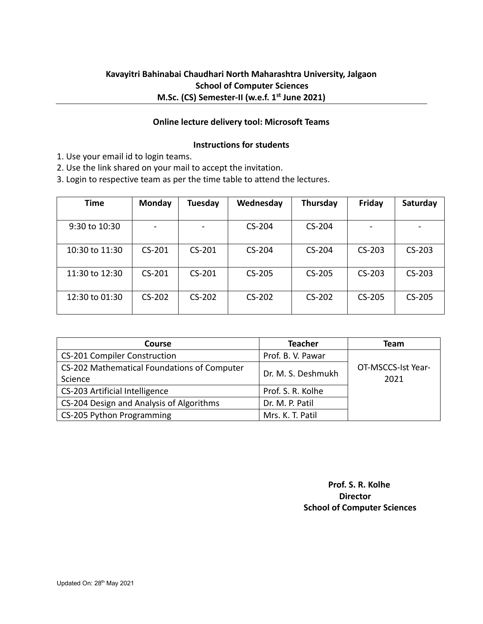# **Kavayitri Bahinabai Chaudhari North Maharashtra University, Jalgaon School of Computer Sciences M.Sc. (CS) Semester-II (w.e.f. 1 st June 2021)**

### **Online lecture delivery tool: Microsoft Teams**

#### **Instructions for students**

- 1. Use your email id to login teams.
- 2. Use the link shared on your mail to accept the invitation.

3. Login to respective team as per the time table to attend the lectures.

| Time           | Monday   | <b>Tuesday</b> | Wednesday | Thursday | Friday   | Saturday |
|----------------|----------|----------------|-----------|----------|----------|----------|
|                |          |                |           |          |          |          |
| 9:30 to 10:30  |          |                | $CS-204$  | $CS-204$ |          |          |
|                |          |                |           |          |          |          |
| 10:30 to 11:30 | $CS-201$ | $CS-201$       | $CS-204$  | $CS-204$ | $CS-203$ | $CS-203$ |
| 11:30 to 12:30 | $CS-201$ | $CS-201$       | $CS-205$  | CS-205   | $CS-203$ | $CS-203$ |
| 12:30 to 01:30 | $CS-202$ | $CS-202$       | $CS-202$  | CS-202   | $CS-205$ | $CS-205$ |

| Course                                      | <b>Teacher</b>     | <b>Team</b>        |
|---------------------------------------------|--------------------|--------------------|
| <b>CS-201 Compiler Construction</b>         | Prof. B. V. Pawar  |                    |
| CS-202 Mathematical Foundations of Computer | Dr. M. S. Deshmukh | OT-MSCCS-Ist Year- |
| Science                                     |                    | 2021               |
| CS-203 Artificial Intelligence              | Prof. S. R. Kolhe  |                    |
| CS-204 Design and Analysis of Algorithms    | Dr. M. P. Patil    |                    |
| CS-205 Python Programming                   | Mrs. K. T. Patil   |                    |

 **Prof. S. R. Kolhe** *Director* **Director School of Computer Sciences**